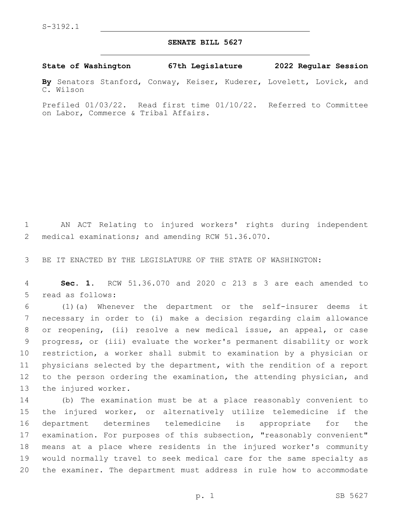## **SENATE BILL 5627**

**State of Washington 67th Legislature 2022 Regular Session**

**By** Senators Stanford, Conway, Keiser, Kuderer, Lovelett, Lovick, and C. Wilson

Prefiled 01/03/22. Read first time 01/10/22. Referred to Committee on Labor, Commerce & Tribal Affairs.

1 AN ACT Relating to injured workers' rights during independent 2 medical examinations; and amending RCW 51.36.070.

3 BE IT ENACTED BY THE LEGISLATURE OF THE STATE OF WASHINGTON:

4 **Sec. 1.** RCW 51.36.070 and 2020 c 213 s 3 are each amended to 5 read as follows:

 (1)(a) Whenever the department or the self-insurer deems it necessary in order to (i) make a decision regarding claim allowance or reopening, (ii) resolve a new medical issue, an appeal, or case progress, or (iii) evaluate the worker's permanent disability or work restriction, a worker shall submit to examination by a physician or physicians selected by the department, with the rendition of a report 12 to the person ordering the examination, the attending physician, and 13 the injured worker.

 (b) The examination must be at a place reasonably convenient to the injured worker, or alternatively utilize telemedicine if the department determines telemedicine is appropriate for the examination. For purposes of this subsection, "reasonably convenient" means at a place where residents in the injured worker's community would normally travel to seek medical care for the same specialty as the examiner. The department must address in rule how to accommodate